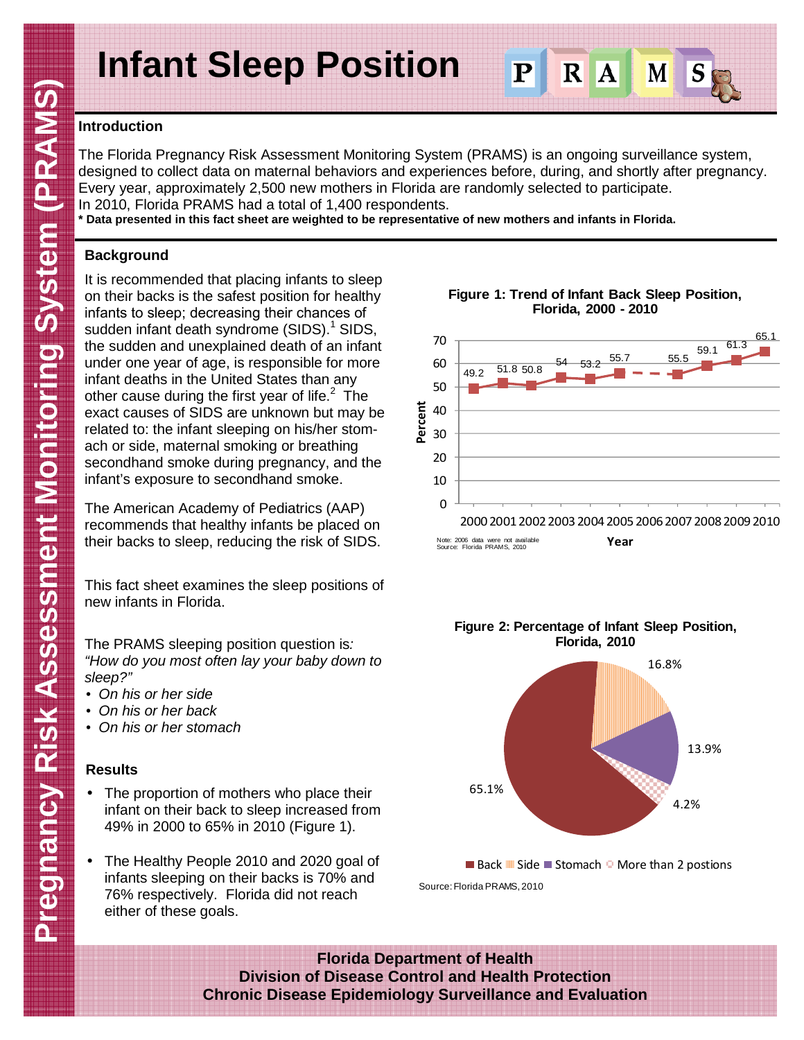# **Infant Sleep Position**

# **Introduction**

The Florida Pregnancy Risk Assessment Monitoring System (PRAMS) is an ongoing surveillance system, designed to collect data on maternal behaviors and experiences before, during, and shortly after pregnancy. Every year, approximately 2,500 new mothers in Florida are randomly selected to participate. In 2010, Florida PRAMS had a total of 1,400 respondents.

**\* Data presented in this fact sheet are weighted to be representative of new mothers and infants in Florida.** 

# **Background**

It is recommended that placing infants to sleep on their backs is the safest position for healthy infants to sleep; decreasing their chances of sudden infant death syndrome (SIDS).<sup>1</sup> SIDS, the sudden and unexplained death of an infant under one year of age, is responsible for more infant deaths in the United States than any other cause during the first year of life. $2$  The exact causes of SIDS are unknown but may be related to: the infant sleeping on his/her stomach or side, maternal smoking or breathing secondhand smoke during pregnancy, and the infant's exposure to secondhand smoke.

The American Academy of Pediatrics (AAP) recommends that healthy infants be placed on their backs to sleep, reducing the risk of SIDS.

This fact sheet examines the sleep positions of new infants in Florida.

The PRAMS sleeping position question is: "How do you most often lay your baby down to sleep?"

- On his or her side
- On his or her back
- On his or her stomach

## **Results**

- The proportion of mothers who place their infant on their back to sleep increased from 49% in 2000 to 65% in 2010 (Figure 1).
- The Healthy People 2010 and 2020 goal of infants sleeping on their backs is 70% and 76% respectively. Florida did not reach either of these goals.





**Figure 2: Percentage of Infant Sleep Position,** 

■ Back  $M$  Side ■ Stomach  $\Box$  More than 2 postions Source: Florida PRAMS, 2010

**Florida Department of Health Division of Disease Control and Health Protection Chronic Disease Epidemiology Surveillance and Evaluation** 

### **Figure 1: Trend of Infant Back Sleep Position, Florida, 2000 - 2010**

 $\overline{\mathbf{P}}$ 

R

 $\overline{\mathbf{A}}$ 

M